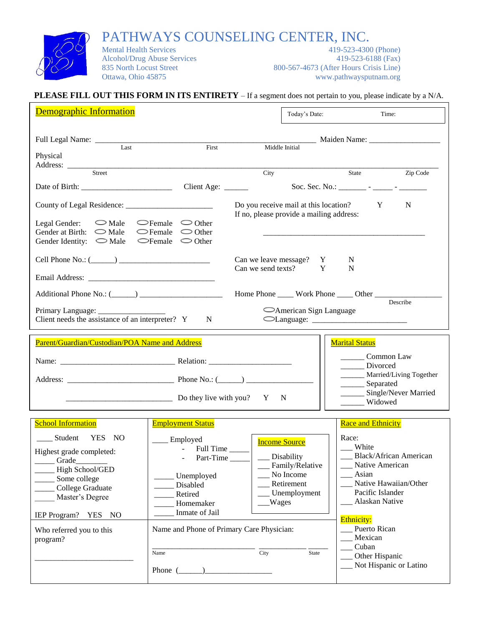

PATHWAYS COUNSELING CENTER, INC.<br>Mental Health Services<br>419-523-4300 (Phone)

Mental Health Services

Alcohol/Drug Abuse Services 419-523-6188 (Fax) 835 North Locust Street 800-567-4673 (After Hours Crisis Line)<br>Ottawa, Ohio 45875 www.pathwaysputnam.org www.pathwaysputnam.org

## **PLEASE FILL OUT THIS FORM IN ITS ENTIRETY** – If a segment does not pertain to you, please indicate by a N/A.

| <b>Demographic Information</b>                                                                                                                                                                     |                                                                                                                                                                  |                                      | Today's Date:                                                                     | Time:                                                                                                                                                                                        |                      |
|----------------------------------------------------------------------------------------------------------------------------------------------------------------------------------------------------|------------------------------------------------------------------------------------------------------------------------------------------------------------------|--------------------------------------|-----------------------------------------------------------------------------------|----------------------------------------------------------------------------------------------------------------------------------------------------------------------------------------------|----------------------|
| Last                                                                                                                                                                                               | First                                                                                                                                                            | Middle Initial                       |                                                                                   |                                                                                                                                                                                              |                      |
| Physical<br>Address:<br>Street                                                                                                                                                                     |                                                                                                                                                                  | City                                 |                                                                                   | State                                                                                                                                                                                        | Zip Code             |
|                                                                                                                                                                                                    | Client Age: $\frac{ }{ }$                                                                                                                                        |                                      |                                                                                   | Soc. Sec. No.: _________ - ______ - ________                                                                                                                                                 |                      |
|                                                                                                                                                                                                    |                                                                                                                                                                  |                                      | Do you receive mail at this location?<br>If no, please provide a mailing address: | Y                                                                                                                                                                                            | N                    |
| Legal Gender: $\bigcirc$ Male<br>Gender at Birth: $\bigcirc$ Male<br>Gender Identity: $\bigcirc$ Male                                                                                              | $\bigcirc$ Female $\bigcirc$ Other<br>$\bigcirc$ Female $\bigcirc$ Other<br>$\bigcirc$ Female $\bigcirc$ Other                                                   |                                      |                                                                                   |                                                                                                                                                                                              |                      |
| Cell Phone No.: $(\_\_)$                                                                                                                                                                           |                                                                                                                                                                  | Can we send texts?                   | Can we leave message? Y<br>Y                                                      | N<br>$\mathbf N$                                                                                                                                                                             |                      |
|                                                                                                                                                                                                    |                                                                                                                                                                  |                                      |                                                                                   |                                                                                                                                                                                              |                      |
|                                                                                                                                                                                                    |                                                                                                                                                                  |                                      |                                                                                   |                                                                                                                                                                                              | Describe             |
| Client needs the assistance of an interpreter? Y                                                                                                                                                   | N                                                                                                                                                                |                                      | American Sign Language                                                            |                                                                                                                                                                                              |                      |
| Parent/Guardian/Custodian/POA Name and Address                                                                                                                                                     |                                                                                                                                                                  |                                      |                                                                                   | <b>Marital Status</b>                                                                                                                                                                        |                      |
|                                                                                                                                                                                                    |                                                                                                                                                                  |                                      |                                                                                   | Common Law<br>Divorced                                                                                                                                                                       |                      |
|                                                                                                                                                                                                    |                                                                                                                                                                  |                                      |                                                                                   | Married/Living Together<br>Separated                                                                                                                                                         |                      |
|                                                                                                                                                                                                    | $\frac{1}{2}$ Do they live with you? Y                                                                                                                           |                                      | N                                                                                 | Widowed                                                                                                                                                                                      | Single/Never Married |
| <b>School Information</b>                                                                                                                                                                          | <b>Employment Status</b>                                                                                                                                         |                                      |                                                                                   | <b>Race and Ethnicity</b>                                                                                                                                                                    |                      |
| _____ Student YES NO<br>Highest grade completed:<br>Grade<br>High School/GED<br>Some college<br>College Graduate<br>Master's Degree<br>IEP Program? YES NO<br>Who referred you to this<br>program? | $\equiv$ Employed<br>- Full Time<br>- Part-Time<br>Unemployed<br>Disabled<br>Retired<br>Homemaker<br>Inmate of Jail<br>Name and Phone of Primary Care Physician: | <b>Income Source</b><br><b>Wages</b> | Disability<br>Family/Relative<br>No Income<br>Retirement<br>Unemployment          | Race:<br>White<br><b>Black/African American</b><br>Native American<br>Asian<br>Native Hawaiian/Other<br>Pacific Islander<br>Alaskan Native<br>Ethnicity:<br>Puerto Rican<br>Mexican<br>Cuban |                      |
|                                                                                                                                                                                                    | Name<br>Phone $(\_\_)$                                                                                                                                           | City                                 | State                                                                             | Other Hispanic<br>Not Hispanic or Latino                                                                                                                                                     |                      |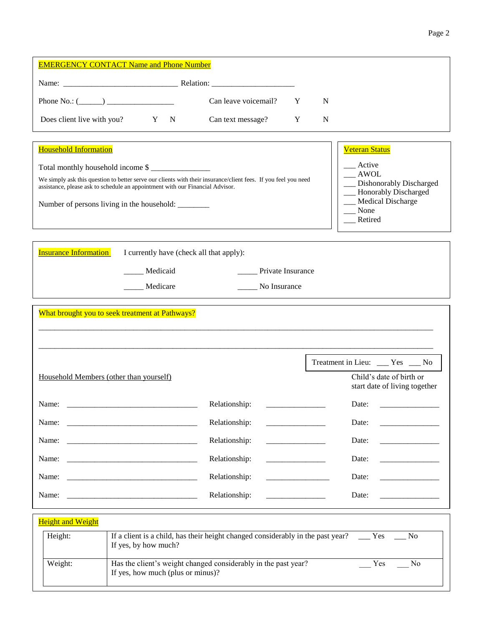| <b>EMERGENCY CONTACT Name and Phone Number</b>                                                                                                                                                                                                                                                                                                                                                                                  |                                                                                                                                                                                                                                                                    |                                         |             |                                                                                                                                                   |
|---------------------------------------------------------------------------------------------------------------------------------------------------------------------------------------------------------------------------------------------------------------------------------------------------------------------------------------------------------------------------------------------------------------------------------|--------------------------------------------------------------------------------------------------------------------------------------------------------------------------------------------------------------------------------------------------------------------|-----------------------------------------|-------------|---------------------------------------------------------------------------------------------------------------------------------------------------|
|                                                                                                                                                                                                                                                                                                                                                                                                                                 |                                                                                                                                                                                                                                                                    |                                         |             |                                                                                                                                                   |
| Phone No.: $(\_\_)$                                                                                                                                                                                                                                                                                                                                                                                                             | Can leave voicemail?                                                                                                                                                                                                                                               | Y                                       | N           |                                                                                                                                                   |
| Does client live with you?<br>$Y \tN$                                                                                                                                                                                                                                                                                                                                                                                           | Can text message?                                                                                                                                                                                                                                                  | Y                                       | $\mathbf N$ |                                                                                                                                                   |
| <b>Household Information</b><br>Total monthly household income \$<br>We simply ask this question to better serve our clients with their insurance/client fees. If you feel you need<br>assistance, please ask to schedule an appointment with our Financial Advisor.<br>Number of persons living in the household: ________<br><b>Insurance Information</b><br>I currently have (check all that apply):<br>Medicaid<br>Medicare | the control of the control of the control of the control of the control of the control of the control of the control of the control of the control of the control of the control of the control of the control of the control<br>Private Insurance<br>No Insurance |                                         |             | <b>Veteran Status</b><br>Active<br>$\_$ AWOL<br>Dishonorably Discharged<br>__ Honorably Discharged<br><b>Medical Discharge</b><br>None<br>Retired |
| What brought you to seek treatment at Pathways?                                                                                                                                                                                                                                                                                                                                                                                 |                                                                                                                                                                                                                                                                    |                                         |             |                                                                                                                                                   |
| Household Members (other than yourself)                                                                                                                                                                                                                                                                                                                                                                                         |                                                                                                                                                                                                                                                                    |                                         |             | Treatment in Lieu: ___ Yes __ No<br>Child's date of birth or<br>start date of living together                                                     |
| Name:                                                                                                                                                                                                                                                                                                                                                                                                                           | Relationship:                                                                                                                                                                                                                                                      |                                         |             | Date:                                                                                                                                             |
| Name:<br><u> 2008 - Jan Barnett, fransk politik (d. 1888)</u>                                                                                                                                                                                                                                                                                                                                                                   | Relationship:                                                                                                                                                                                                                                                      |                                         |             | Date:                                                                                                                                             |
| Name:                                                                                                                                                                                                                                                                                                                                                                                                                           | Relationship:                                                                                                                                                                                                                                                      |                                         |             | Date:                                                                                                                                             |
|                                                                                                                                                                                                                                                                                                                                                                                                                                 | Relationship:                                                                                                                                                                                                                                                      |                                         |             | Date:                                                                                                                                             |
|                                                                                                                                                                                                                                                                                                                                                                                                                                 | Relationship:                                                                                                                                                                                                                                                      | and the state of the state of the state |             | Date:                                                                                                                                             |
| Name:                                                                                                                                                                                                                                                                                                                                                                                                                           | Relationship:                                                                                                                                                                                                                                                      | <u> 1980 - Andrea Stationer (d. 19</u>  |             | Date:                                                                                                                                             |
| <b>Height and Weight</b><br>Height:<br>If yes, by how much?<br>Weight:<br>If yes, how much (plus or minus)?                                                                                                                                                                                                                                                                                                                     | If a client is a child, has their height changed considerably in the past year? $\Box$ Yes $\Box$ No<br>Has the client's weight changed considerably in the past year?                                                                                             |                                         |             | Yes<br>No                                                                                                                                         |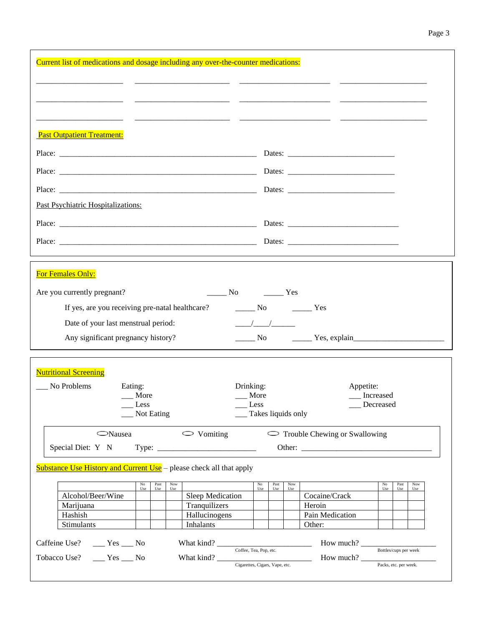| Current list of medications and dosage including any over-the-counter medications:                                                |                                                                                                |
|-----------------------------------------------------------------------------------------------------------------------------------|------------------------------------------------------------------------------------------------|
|                                                                                                                                   |                                                                                                |
|                                                                                                                                   |                                                                                                |
|                                                                                                                                   |                                                                                                |
| <b>Past Outpatient Treatment:</b>                                                                                                 |                                                                                                |
|                                                                                                                                   |                                                                                                |
|                                                                                                                                   |                                                                                                |
|                                                                                                                                   |                                                                                                |
| Past Psychiatric Hospitalizations:                                                                                                |                                                                                                |
|                                                                                                                                   |                                                                                                |
|                                                                                                                                   |                                                                                                |
|                                                                                                                                   |                                                                                                |
| For Females Only:                                                                                                                 |                                                                                                |
| Are you currently pregnant?                                                                                                       | $N0$ $Yes$                                                                                     |
| If yes, are you receiving pre-natal healthcare?                                                                                   | $\frac{1}{\sqrt{1-\frac{1}{2}}}$ No $\frac{1}{\sqrt{1-\frac{1}{2}}}$ Yes                       |
| Date of your last menstrual period:                                                                                               | $\frac{\frac{1}{2}}{\frac{1}{2}}$                                                              |
| Any significant pregnancy history?                                                                                                | $\frac{1}{\sqrt{1-\frac{1}{2}}}\text{No}$ $\frac{1}{\sqrt{1-\frac{1}{2}}\text{Yes}}$ , explain |
| <u> 1989 - Johann Stein, marwolaethau a bhann an t-Amhair an t-Amhair an t-Amhair an t-Amhair an t-Amhair an t-A</u>              |                                                                                                |
| <b>Nutritional Screening</b>                                                                                                      |                                                                                                |
| No Problems<br>Eating:                                                                                                            | Drinking:<br>Appetite:                                                                         |
| $\frac{1}{2}$ More                                                                                                                | Increased<br><sub>___</sub> More<br>Less                                                       |
| $\_\_\_\$ Less<br>__ Not Eating                                                                                                   | __ Decreased<br>__ Takes liquids only                                                          |
| $\circ$ Vomiting<br><b>Nausea</b>                                                                                                 | $\sim$ Trouble Chewing or Swallowing                                                           |
|                                                                                                                                   |                                                                                                |
|                                                                                                                                   |                                                                                                |
|                                                                                                                                   |                                                                                                |
| No<br>Past<br>Now                                                                                                                 | $_{\rm No}$<br>Past<br>Now<br>$_{\rm No}$<br>Past<br>Now                                       |
| Use<br>Use<br>Use                                                                                                                 | Use<br>Use<br>Use<br>Use<br>Use<br>Use                                                         |
| Sleep Medication<br>Alcohol/Beer/Wine                                                                                             | Cocaine/Crack                                                                                  |
| Tranquilizers<br>Marijuana                                                                                                        | Heroin                                                                                         |
| <b>Substance Use History and Current Use</b> – please check all that apply<br>Hashish<br>Hallucinogens<br>Stimulants<br>Inhalants | Pain Medication<br>Other:                                                                      |
|                                                                                                                                   |                                                                                                |
| Caffeine Use? ____ Yes ___ No<br>Tobacco Use? ____ Yes ___ No                                                                     | $\text{How much?}\_\_\text{Packs, etc. per week.}$                                             |